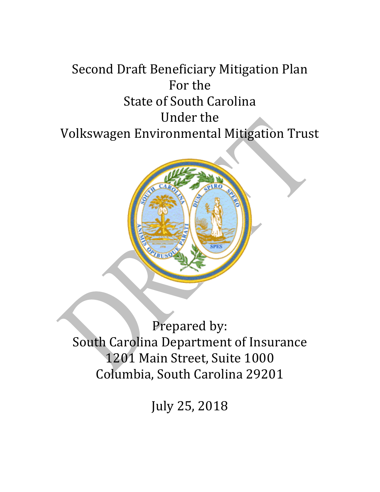# Second Draft Beneficiary Mitigation Plan For the State of South Carolina Under the Volkswagen Environmental Mitigation Trust



Prepared by: South Carolina Department of Insurance 1201 Main Street, Suite 1000 Columbia, South Carolina 29201

July 25, 2018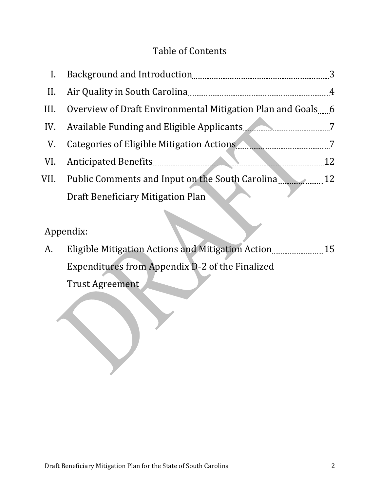## Table of Contents

| $\mathbf{I}$ . |                                                             |    |
|----------------|-------------------------------------------------------------|----|
| $\prod$ .      |                                                             | 4  |
| III.           | Overview of Draft Environmental Mitigation Plan and Goals 6 |    |
|                | IV. Available Funding and Eligible Applicants               |    |
| V.             |                                                             |    |
|                |                                                             | 12 |
| VII.           | Public Comments and Input on the South Carolina 2008 12     |    |
|                | Draft Beneficiary Mitigation Plan                           |    |

## Appendix:

| A. | Eligible Mitigation Actions and Mitigation Action | 15 |
|----|---------------------------------------------------|----|
|    | Expenditures from Appendix D-2 of the Finalized   |    |
|    | Trust Agreement                                   |    |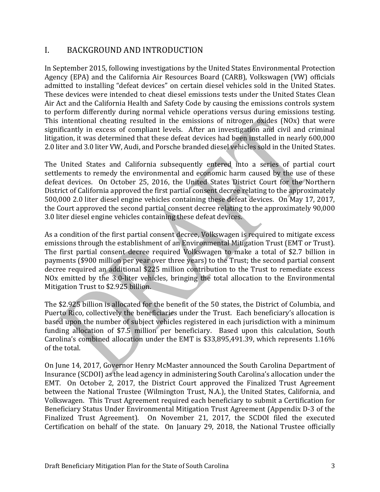#### I. BACKGROUND AND INTRODUCTION

In September 2015, following investigations by the United States Environmental Protection Agency (EPA) and the California Air Resources Board (CARB), Volkswagen (VW) officials admitted to installing "defeat devices" on certain diesel vehicles sold in the United States. These devices were intended to cheat diesel emissions tests under the United States Clean Air Act and the California Health and Safety Code by causing the emissions controls system to perform differently during normal vehicle operations versus during emissions testing. This intentional cheating resulted in the emissions of nitrogen oxides (NOx) that were significantly in excess of compliant levels. After an investigation and civil and criminal litigation, it was determined that these defeat devices had been installed in nearly 600,000 2.0 liter and 3.0 liter VW, Audi, and Porsche branded diesel vehicles sold in the United States.

The United States and California subsequently entered into a series of partial court settlements to remedy the environmental and economic harm caused by the use of these defeat devices. On October 25, 2016, the United States District Court for the Northern District of California approved the first partial consent decree relating to the approximately 500,000 2.0 liter diesel engine vehicles containing these defeat devices. On May 17, 2017, the Court approved the second partial consent decree relating to the approximately 90,000 3.0 liter diesel engine vehicles containing these defeat devices.

As a condition of the first partial consent decree, Volkswagen is required to mitigate excess emissions through the establishment of an Environmental Mitigation Trust (EMT or Trust). The first partial consent decree required Volkswagen to make a total of \$2.7 billion in payments (\$900 million per year over three years) to the Trust; the second partial consent decree required an additional \$225 million contribution to the Trust to remediate excess NOx emitted by the 3.0-liter vehicles, bringing the total allocation to the Environmental Mitigation Trust to \$2.925 billion.

The \$2.925 billion is allocated for the benefit of the 50 states, the District of Columbia, and Puerto Rico, collectively the beneficiaries under the Trust. Each beneficiary's allocation is based upon the number of subject vehicles registered in each jurisdiction with a minimum funding allocation of \$7.5 million per beneficiary. Based upon this calculation, South Carolina's combined allocation under the EMT is \$33,895,491.39, which represents 1.16% of the total.

On June 14, 2017, Governor Henry McMaster announced the South Carolina Department of Insurance (SCDOI) as the lead agency in administering South Carolina's allocation under the EMT. On October 2, 2017, the District Court approved the Finalized Trust Agreement between the National Trustee (Wilmington Trust, N.A.), the United States, California, and Volkswagen. This Trust Agreement required each beneficiary to submit a Certification for Beneficiary Status Under Environmental Mitigation Trust Agreement (Appendix D-3 of the Finalized Trust Agreement). On November 21, 2017, the SCDOI filed the executed Certification on behalf of the state. On January 29, 2018, the National Trustee officially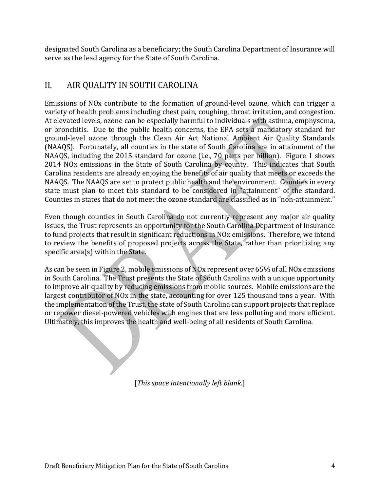designated South Carolina as a beneficiary; the South Carolina Department of Insurance will serve as the lead agency for the State of South Carolina.

## II. AIR QUALITY IN SOUTH CAROLINA

Emissions of NOx contribute to the formation of ground-level ozone, which can trigger a variety of health problems including chest pain, coughing, throat irritation, and congestion. At elevated levels, ozone can be especially harmful to individuals with asthma, emphysema, or bronchitis. Due to the public health concerns, the EPA sets a mandatory standard for ground-level ozone through the Clean Air Act National Ambient Air Quality Standards (NAAQS). Fortunately, all counties in the state of South Carolina are in attainment of the NAAQS, including the 2015 standard for ozone (i.e., 70 parts per billion). Figure 1 shows 2014 NOx emissions in the State of South Carolina by county. This indicates that South Carolina residents are already enjoying the benefits of air quality that meets or exceeds the NAAQS. The NAAQS are set to protect public health and the environment. Counties in every state must plan to meet this standard to be considered in "attainment" of the standard. Counties in states that do not meet the ozone standard are classified as in "non-attainment."

Even though counties in South Carolina do not currently represent any major air quality issues, the Trust represents an opportunity for the South Carolina Department of Insurance to fund projects that result in significant reductions in NOx emissions. Therefore, we intend to review the benefits of proposed projects across the State, rather than prioritizing any specific area(s) within the State.

As can be seen in Figure 2, mobile emissions of NOx represent over 65% of all NOx emissions in South Carolina. The Trust presents the State of South Carolina with a unique opportunity to improve air quality by reducing emissions from mobile sources. Mobile emissions are the largest contributor of NOx in the state, accounting for over 125 thousand tons a year. With the implementation of the Trust, the state of South Carolina can support projects that replace or repower diesel-powered vehicles with engines that are less polluting and more efficient. Ultimately, this improves the health and well-being of all residents of South Carolina.

[*This space intentionally left blank.*]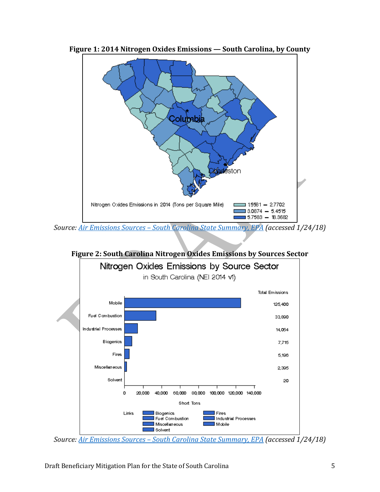

**Figure 1: 2014 Nitrogen Oxides Emissions — South Carolina, by County**

*Source: Air Emissions Sources – [South Carolina State Summary, EPA](https://www3.epa.gov/cgi-bin/broker?_service=data&_debug=0&_program=dataprog.state_1.sas&pol=NOX&stfips=45) (accessed 1/24/18)*



**Figure 2: South Carolina Nitrogen Oxides Emissions by Sources Sector**

*Source: Air Emissions Sources – [South Carolina State Summary, EPA](https://www3.epa.gov/cgi-bin/broker?_service=data&_debug=0&_program=dataprog.state_1.sas&pol=NOX&stfips=45) (accessed 1/24/18)*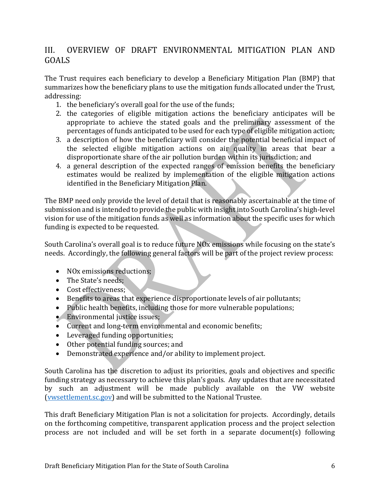### III. OVERVIEW OF DRAFT ENVIRONMENTAL MITIGATION PLAN AND GOALS

The Trust requires each beneficiary to develop a Beneficiary Mitigation Plan (BMP) that summarizes how the beneficiary plans to use the mitigation funds allocated under the Trust, addressing:

- 1. the beneficiary's overall goal for the use of the funds;
- 2. the categories of eligible mitigation actions the beneficiary anticipates will be appropriate to achieve the stated goals and the preliminary assessment of the percentages of funds anticipated to be used for each type of eligible mitigation action;
- 3. a description of how the beneficiary will consider the potential beneficial impact of the selected eligible mitigation actions on air quality in areas that bear a disproportionate share of the air pollution burden within its jurisdiction; and
- 4. a general description of the expected ranges of emission benefits the beneficiary estimates would be realized by implementation of the eligible mitigation actions identified in the Beneficiary Mitigation Plan.

The BMP need only provide the level of detail that is reasonably ascertainable at the time of submission and is intended to provide the public with insight into South Carolina's high-level vision for use of the mitigation funds as well as information about the specific uses for which funding is expected to be requested.

South Carolina's overall goal is to reduce future NOx emissions while focusing on the state's needs. Accordingly, the following general factors will be part of the project review process:

- NO<sub>x</sub> emissions reductions;
- The State's needs:
- Cost effectiveness;
- Benefits to areas that experience disproportionate levels of air pollutants;
- Public health benefits, including those for more vulnerable populations;
- Environmental justice issues;
- Current and long-term environmental and economic benefits;
- Leveraged funding opportunities;
- Other potential funding sources; and
- Demonstrated experience and/or ability to implement project.

South Carolina has the discretion to adjust its priorities, goals and objectives and specific funding strategy as necessary to achieve this plan's goals. Any updates that are necessitated by such an adjustment will be made publicly available on the VW website [\(vwsettlement.sc.gov\)](http://vwsettlement.sc.gov/) and will be submitted to the National Trustee.

This draft Beneficiary Mitigation Plan is not a solicitation for projects. Accordingly, details on the forthcoming competitive, transparent application process and the project selection process are not included and will be set forth in a separate document(s) following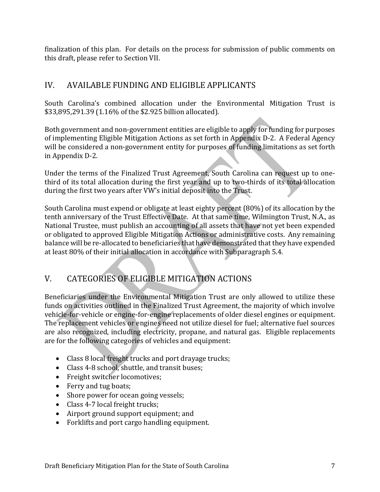finalization of this plan. For details on the process for submission of public comments on this draft, please refer to Section VII.

## IV. AVAILABLE FUNDING AND ELIGIBLE APPLICANTS

South Carolina's combined allocation under the Environmental Mitigation Trust is \$33,895,291.39 (1.16% of the \$2.925 billion allocated).

Both government and non-government entities are eligible to apply for funding for purposes of implementing Eligible Mitigation Actions as set forth in Appendix D-2. A Federal Agency will be considered a non-government entity for purposes of funding limitations as set forth in Appendix D-2.

Under the terms of the Finalized Trust Agreement, South Carolina can request up to onethird of its total allocation during the first year and up to two-thirds of its total allocation during the first two years after VW's initial deposit into the Trust.

South Carolina must expend or obligate at least eighty percent (80%) of its allocation by the tenth anniversary of the Trust Effective Date. At that same time, Wilmington Trust, N.A., as National Trustee, must publish an accounting of all assets that have not yet been expended or obligated to approved Eligible Mitigation Actions or administrative costs. Any remaining balance will be re-allocated to beneficiaries that have demonstrated that they have expended at least 80% of their initial allocation in accordance with Subparagraph 5.4.

## V. CATEGORIES OF ELIGIBLE MITIGATION ACTIONS

Beneficiaries under the Environmental Mitigation Trust are only allowed to utilize these funds on activities outlined in the Finalized Trust Agreement, the majority of which involve vehicle-for-vehicle or engine-for-engine replacements of older diesel engines or equipment. The replacement vehicles or engines need not utilize diesel for fuel; alternative fuel sources are also recognized, including electricity, propane, and natural gas. Eligible replacements are for the following categories of vehicles and equipment:

- Class 8 local freight trucks and port drayage trucks;
- Class 4-8 school, shuttle, and transit buses;
- Freight switcher locomotives;
- Ferry and tug boats;
- Shore power for ocean going vessels;
- Class 4-7 local freight trucks;
- Airport ground support equipment; and
- Forklifts and port cargo handling equipment.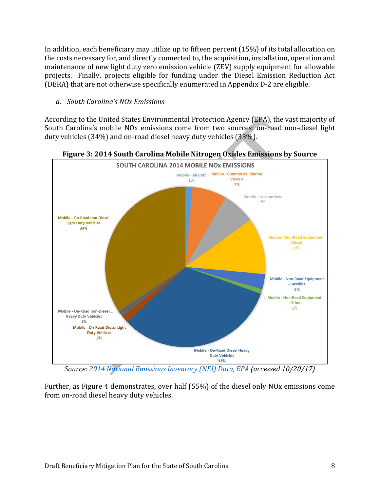In addition, each beneficiary may utilize up to fifteen percent (15%) of its total allocation on the costs necessary for, and directly connected to, the acquisition, installation, operation and maintenance of new light duty zero emission vehicle (ZEV) supply equipment for allowable projects. Finally, projects eligible for funding under the Diesel Emission Reduction Act (DERA) that are not otherwise specifically enumerated in Appendix D-2 are eligible.

*a. South Carolina's NOx Emissions*

According to the United States Environmental Protection Agency (EPA), the vast majority of South Carolina's mobile NOx emissions come from two sources: on-road non-diesel light duty vehicles (34%) and on-road diesel heavy duty vehicles (33%).



**Figure 3: 2014 South Carolina Mobile Nitrogen Oxides Emissions by Source**

*Source[: 2014 National Emissions Inventory \(NEI\) Data,](https://www.epa.gov/air-emissions-inventories/2014-national-emissions-inventory-nei-data) EPA (accessed 10/20/17)*

Further, as Figure 4 demonstrates, over half (55%) of the diesel only NOx emissions come from on-road diesel heavy duty vehicles.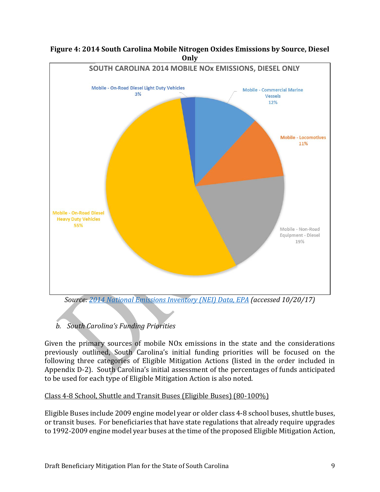

#### **Figure 4: 2014 South Carolina Mobile Nitrogen Oxides Emissions by Source, Diesel Only**

*b. South Carolina's Funding Priorities*

Given the primary sources of mobile NOx emissions in the state and the considerations previously outlined, South Carolina's initial funding priorities will be focused on the following three categories of Eligible Mitigation Actions (listed in the order included in Appendix D-2). South Carolina's initial assessment of the percentages of funds anticipated to be used for each type of Eligible Mitigation Action is also noted.

#### Class 4-8 School, Shuttle and Transit Buses (Eligible Buses) (80-100%)

Eligible Buses include 2009 engine model year or older class 4-8 school buses, shuttle buses, or transit buses. For beneficiaries that have state regulations that already require upgrades to 1992-2009 engine model year buses at the time of the proposed Eligible Mitigation Action,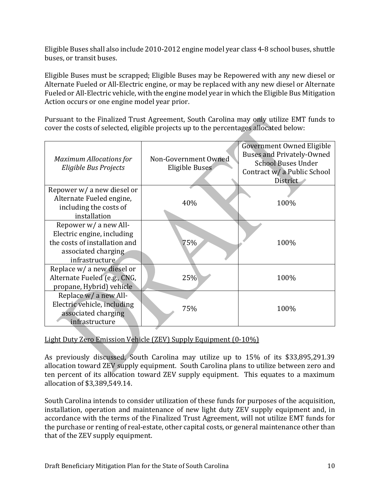Eligible Buses shall also include 2010-2012 engine model year class 4-8 school buses, shuttle buses, or transit buses.

Eligible Buses must be scrapped; Eligible Buses may be Repowered with any new diesel or Alternate Fueled or All-Electric engine, or may be replaced with any new diesel or Alternate Fueled or All-Electric vehicle, with the engine model year in which the Eligible Bus Mitigation Action occurs or one engine model year prior.

Pursuant to the Finalized Trust Agreement, South Carolina may only utilize EMT funds to cover the costs of selected, eligible projects up to the percentages allocated below:

| <b>Maximum Allocations for</b><br>Eligible Bus Projects                                                                       | Non-Government Owned<br>Eligible Buses | Government Owned Eligible<br><b>Buses and Privately-Owned</b><br><b>School Buses Under</b><br>Contract w/ a Public School<br>District |
|-------------------------------------------------------------------------------------------------------------------------------|----------------------------------------|---------------------------------------------------------------------------------------------------------------------------------------|
| Repower w/ a new diesel or<br>Alternate Fueled engine,<br>including the costs of<br>installation                              | 40%                                    | 100%                                                                                                                                  |
| Repower w/ a new All-<br>Electric engine, including<br>the costs of installation and<br>associated charging<br>infrastructure | 75%                                    | 100%                                                                                                                                  |
| Replace w/ a new diesel or<br>Alternate Fueled (e.g., CNG,<br>propane, Hybrid) vehicle                                        | 25%                                    | 100%                                                                                                                                  |
| Replace w/ a new All-<br>Electric vehicle, including<br>associated charging<br>infrastructure                                 | 75%                                    | 100%                                                                                                                                  |

#### Light Duty Zero Emission Vehicle (ZEV) Supply Equipment (0-10%)

As previously discussed, South Carolina may utilize up to 15% of its \$33,895,291.39 allocation toward ZEV supply equipment. South Carolina plans to utilize between zero and ten percent of its allocation toward ZEV supply equipment. This equates to a maximum allocation of \$3,389,549.14.

South Carolina intends to consider utilization of these funds for purposes of the acquisition, installation, operation and maintenance of new light duty ZEV supply equipment and, in accordance with the terms of the Finalized Trust Agreement, will not utilize EMT funds for the purchase or renting of real-estate, other capital costs, or general maintenance other than that of the ZEV supply equipment.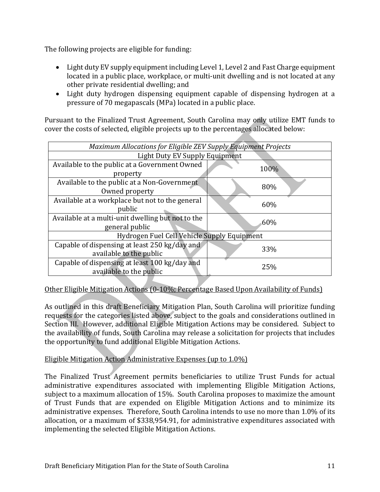The following projects are eligible for funding:

- Light duty EV supply equipment including Level 1, Level 2 and Fast Charge equipment located in a public place, workplace, or multi-unit dwelling and is not located at any other private residential dwelling; and
- Light duty hydrogen dispensing equipment capable of dispensing hydrogen at a pressure of 70 megapascals (MPa) located in a public place.

Pursuant to the Finalized Trust Agreement, South Carolina may only utilize EMT funds to cover the costs of selected, eligible projects up to the percentages allocated below:

| <b>Maximum Allocations for Eligible ZEV Supply Equipment Projects</b> |      |  |  |  |
|-----------------------------------------------------------------------|------|--|--|--|
| <b>Light Duty EV Supply Equipment</b>                                 |      |  |  |  |
| Available to the public at a Government Owned                         | 100% |  |  |  |
| property                                                              |      |  |  |  |
| Available to the public at a Non-Government                           | 80%  |  |  |  |
| Owned property                                                        |      |  |  |  |
| Available at a workplace but not to the general                       | 60%  |  |  |  |
| public                                                                |      |  |  |  |
| Available at a multi-unit dwelling but not to the                     | 60%  |  |  |  |
| general public                                                        |      |  |  |  |
| Hydrogen Fuel Cell Vehicle Supply Equipment                           |      |  |  |  |
| Capable of dispensing at least 250 kg/day and                         |      |  |  |  |
| available to the public                                               | 33%  |  |  |  |
| Capable of dispensing at least 100 kg/day and                         | 25%  |  |  |  |
| available to the public                                               |      |  |  |  |

#### Other Eligible Mitigation Actions (0-10%; Percentage Based Upon Availability of Funds)

As outlined in this draft Beneficiary Mitigation Plan, South Carolina will prioritize funding requests for the categories listed above, subject to the goals and considerations outlined in Section III. However, additional Eligible Mitigation Actions may be considered. Subject to the availability of funds, South Carolina may release a solicitation for projects that includes the opportunity to fund additional Eligible Mitigation Actions.

#### Eligible Mitigation Action Administrative Expenses (up to 1.0%)

The Finalized Trust Agreement permits beneficiaries to utilize Trust Funds for actual administrative expenditures associated with implementing Eligible Mitigation Actions, subject to a maximum allocation of 15%. South Carolina proposes to maximize the amount of Trust Funds that are expended on Eligible Mitigation Actions and to minimize its administrative expenses. Therefore, South Carolina intends to use no more than 1.0% of its allocation, or a maximum of \$338,954.91, for administrative expenditures associated with implementing the selected Eligible Mitigation Actions.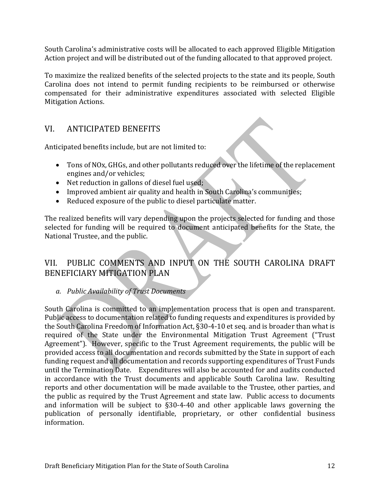South Carolina's administrative costs will be allocated to each approved Eligible Mitigation Action project and will be distributed out of the funding allocated to that approved project.

To maximize the realized benefits of the selected projects to the state and its people, South Carolina does not intend to permit funding recipients to be reimbursed or otherwise compensated for their administrative expenditures associated with selected Eligible Mitigation Actions.

### VI. ANTICIPATED BENEFITS

Anticipated benefits include, but are not limited to:

- Tons of NOx, GHGs, and other pollutants reduced over the lifetime of the replacement engines and/or vehicles;
- Net reduction in gallons of diesel fuel used;
- Improved ambient air quality and health in South Carolina's communities;
- Reduced exposure of the public to diesel particulate matter.

The realized benefits will vary depending upon the projects selected for funding and those selected for funding will be required to document anticipated benefits for the State, the National Trustee, and the public.

### VII. PUBLIC COMMENTS AND INPUT ON THE SOUTH CAROLINA DRAFT BENEFICIARY MITIGATION PLAN

#### *a. Public Availability of Trust Documents*

South Carolina is committed to an implementation process that is open and transparent. Public access to documentation related to funding requests and expenditures is provided by the South Carolina Freedom of Information Act, §30-4-10 et seq. and is broader than what is required of the State under the Environmental Mitigation Trust Agreement ("Trust Agreement"). However, specific to the Trust Agreement requirements, the public will be provided access to all documentation and records submitted by the State in support of each funding request and all documentation and records supporting expenditures of Trust Funds until the Termination Date. Expenditures will also be accounted for and audits conducted in accordance with the Trust documents and applicable South Carolina law. Resulting reports and other documentation will be made available to the Trustee, other parties, and the public as required by the Trust Agreement and state law. Public access to documents and information will be subject to §30-4-40 and other applicable laws governing the publication of personally identifiable, proprietary, or other confidential business information.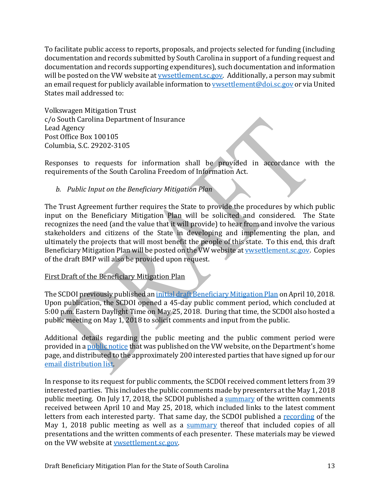To facilitate public access to reports, proposals, and projects selected for funding (including documentation and records submitted by South Carolina in support of a funding request and documentation and records supporting expenditures), such documentation and information will be posted on the VW website at *ywsettlement.sc.gov.* Additionally, a person may submit an email request for publicly available information to **vwsettlement@doi.sc.gov** or via United States mail addressed to:

Volkswagen Mitigation Trust c/o South Carolina Department of Insurance Lead Agency Post Office Box 100105 Columbia, S.C. 29202-3105

Responses to requests for information shall be provided in accordance with the requirements of the South Carolina Freedom of Information Act.

#### *b. Public Input on the Beneficiary Mitigation Plan*

The Trust Agreement further requires the State to provide the procedures by which public input on the Beneficiary Mitigation Plan will be solicited and considered. The State recognizes the need (and the value that it will provide) to hear from and involve the various stakeholders and citizens of the State in developing and implementing the plan, and ultimately the projects that will most benefit the people of this state. To this end, this draft Beneficiary Mitigation Plan will be posted on the VW website at **wwsettlement.sc.gov.** Copies of the draft BMP will also be provided upon request.

#### First Draft of the Beneficiary Mitigation Plan

The SCDOI previously published a[n initial draft Beneficiary Mitigation Plan](http://vwsettlement.sc.gov/DocumentCenter/View/10747/Draft-Beneficiary-Mitigation-Plan-2018-04-10?bidId=) on April 10, 2018. Upon publication, the SCDOI opened a 45-day public comment period, which concluded at 5:00 p.m. Eastern Daylight Time on May 25, 2018. During that time, the SCDOI also hosted a public meeting on May 1, 2018 to solicit comments and input from the public.

Additional details regarding the public meeting and the public comment period were provided in a [public notice](http://vwsettlement.sc.gov/DocumentCenter/View/10748/Media-Release-re-BMP-Draft-and-5-1-18-Public-Meeting-2018-04-10?bidId=) that was published on the VW website, on the Department's home page, and distributed to the approximately 200 interested parties that have signed up for our [email distribution list.](http://www.doi.sc.gov/notifyme)

In response to its request for public comments, the SCDOI received comment letters from 39 interested parties. This includes the public comments made by presenters at the May 1, 2018 public meeting. On July 17, 2018, the SCDOI published a [summary](http://vwsettlement.sc.gov/DocumentCenter/View/10992/Draft-Beneficiary-Mitigation-Plan---Summary-of-Written-Comments) of the written comments received between April 10 and May 25, 2018, which included links to the latest comment letters from each interested party. That same day, the SCDOI published a [recording](https://www.youtube.com/watch?v=BLRgxoLKDYs&feature=youtu.be) of the May 1, 2018 public meeting as well as a [summary](http://vwsettlement.sc.gov/DocumentCenter/View/10952/2018-05-01-Public-Meeting---Written-Summary-of-Meeting) thereof that included copies of all presentations and the written comments of each presenter. These materials may be viewed on the VW website at [vwsettlement.sc.gov.](http://vwsettlement.sc.gov/)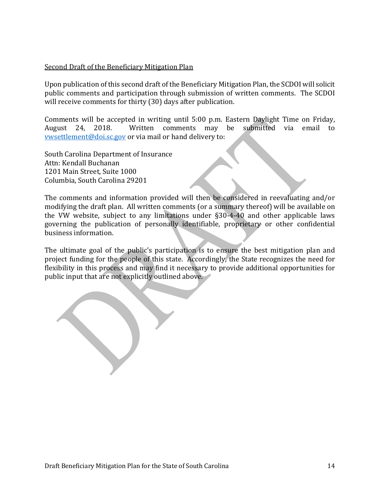#### Second Draft of the Beneficiary Mitigation Plan

Upon publication of this second draft of the Beneficiary Mitigation Plan, the SCDOI will solicit public comments and participation through submission of written comments. The SCDOI will receive comments for thirty (30) days after publication.

Comments will be accepted in writing until 5:00 p.m. Eastern Daylight Time on Friday, Written comments may be submitted via email to [vwsettlement@doi.sc.gov](mailto:vwsettlement@doi.sc.gov) or via mail or hand delivery to:

South Carolina Department of Insurance Attn: Kendall Buchanan 1201 Main Street, Suite 1000 Columbia, South Carolina 29201

The comments and information provided will then be considered in reevaluating and/or modifying the draft plan. All written comments (or a summary thereof) will be available on the VW website, subject to any limitations under §30-4-40 and other applicable laws governing the publication of personally identifiable, proprietary or other confidential business information.

The ultimate goal of the public's participation is to ensure the best mitigation plan and project funding for the people of this state. Accordingly, the State recognizes the need for flexibility in this process and may find it necessary to provide additional opportunities for public input that are not explicitly outlined above.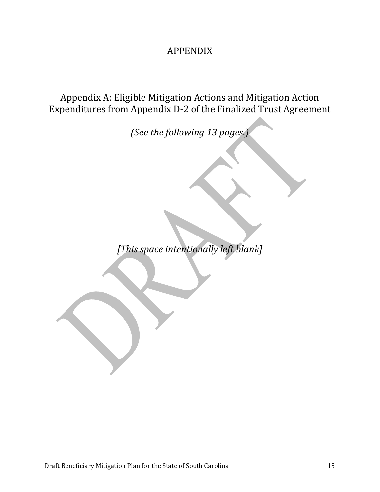## APPENDIX

Appendix A: Eligible Mitigation Actions and Mitigation Action Expenditures from Appendix D-2 of the Finalized Trust Agreement

*(See the following 13 pages.)*

*[This space intentionally left blank]*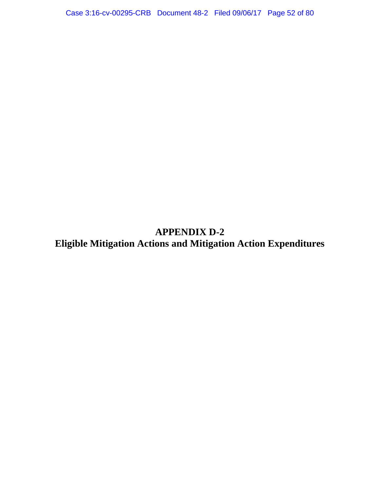## **APPENDIX D-2 Eligible Mitigation Actions and Mitigation Action Expenditures**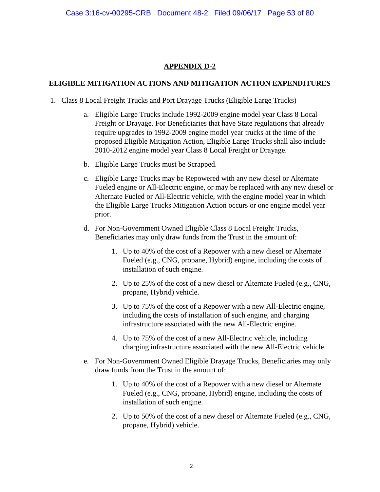#### **APPENDIX D-2**

#### **ELIGIBLE MITIGATION ACTIONS AND MITIGATION ACTION EXPENDITURES**

- 1. Class 8 Local Freight Trucks and Port Drayage Trucks (Eligible Large Trucks)
	- a. Eligible Large Trucks include 1992-2009 engine model year Class 8 Local Freight or Drayage. For Beneficiaries that have State regulations that already require upgrades to 1992-2009 engine model year trucks at the time of the proposed Eligible Mitigation Action, Eligible Large Trucks shall also include 2010-2012 engine model year Class 8 Local Freight or Drayage.
	- b. Eligible Large Trucks must be Scrapped.
	- c. Eligible Large Trucks may be Repowered with any new diesel or Alternate Fueled engine or All-Electric engine, or may be replaced with any new diesel or Alternate Fueled or All-Electric vehicle, with the engine model year in which the Eligible Large Trucks Mitigation Action occurs or one engine model year prior.
	- d. For Non-Government Owned Eligible Class 8 Local Freight Trucks, Beneficiaries may only draw funds from the Trust in the amount of:
		- 1. Up to 40% of the cost of a Repower with a new diesel or Alternate Fueled (e.g., CNG, propane, Hybrid) engine, including the costs of installation of such engine.
		- 2. Up to 25% of the cost of a new diesel or Alternate Fueled (e.g., CNG, propane, Hybrid) vehicle.
		- 3. Up to 75% of the cost of a Repower with a new All-Electric engine, including the costs of installation of such engine, and charging infrastructure associated with the new All-Electric engine.
		- 4. Up to 75% of the cost of a new All-Electric vehicle, including charging infrastructure associated with the new All-Electric vehicle.
	- e. For Non-Government Owned Eligible Drayage Trucks, Beneficiaries may only draw funds from the Trust in the amount of:
		- 1. Up to 40% of the cost of a Repower with a new diesel or Alternate Fueled (e.g., CNG, propane, Hybrid) engine, including the costs of installation of such engine.
		- 2. Up to 50% of the cost of a new diesel or Alternate Fueled (e.g., CNG, propane, Hybrid) vehicle.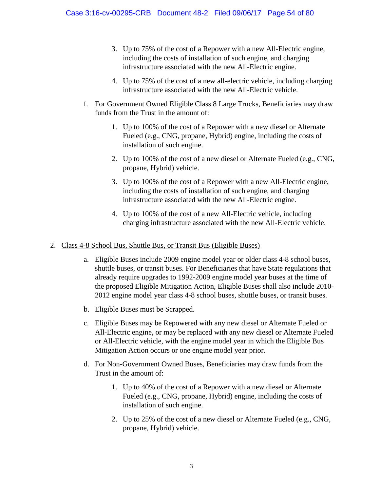- 3. Up to 75% of the cost of a Repower with a new All-Electric engine, including the costs of installation of such engine, and charging infrastructure associated with the new All-Electric engine.
- 4. Up to 75% of the cost of a new all-electric vehicle, including charging infrastructure associated with the new All-Electric vehicle.
- f. For Government Owned Eligible Class 8 Large Trucks, Beneficiaries may draw funds from the Trust in the amount of:
	- 1. Up to 100% of the cost of a Repower with a new diesel or Alternate Fueled (e.g., CNG, propane, Hybrid) engine, including the costs of installation of such engine.
	- 2. Up to 100% of the cost of a new diesel or Alternate Fueled (e.g., CNG, propane, Hybrid) vehicle.
	- 3. Up to 100% of the cost of a Repower with a new All-Electric engine, including the costs of installation of such engine, and charging infrastructure associated with the new All-Electric engine.
	- 4. Up to 100% of the cost of a new All-Electric vehicle, including charging infrastructure associated with the new All-Electric vehicle.

#### 2. Class 4-8 School Bus, Shuttle Bus, or Transit Bus (Eligible Buses)

- a. Eligible Buses include 2009 engine model year or older class 4-8 school buses, shuttle buses, or transit buses. For Beneficiaries that have State regulations that already require upgrades to 1992-2009 engine model year buses at the time of the proposed Eligible Mitigation Action, Eligible Buses shall also include 2010- 2012 engine model year class 4-8 school buses, shuttle buses, or transit buses.
- b. Eligible Buses must be Scrapped.
- c. Eligible Buses may be Repowered with any new diesel or Alternate Fueled or All-Electric engine, or may be replaced with any new diesel or Alternate Fueled or All-Electric vehicle, with the engine model year in which the Eligible Bus Mitigation Action occurs or one engine model year prior.
- d. For Non-Government Owned Buses, Beneficiaries may draw funds from the Trust in the amount of:
	- 1. Up to 40% of the cost of a Repower with a new diesel or Alternate Fueled (e.g., CNG, propane, Hybrid) engine, including the costs of installation of such engine.
	- 2. Up to 25% of the cost of a new diesel or Alternate Fueled (e.g., CNG, propane, Hybrid) vehicle.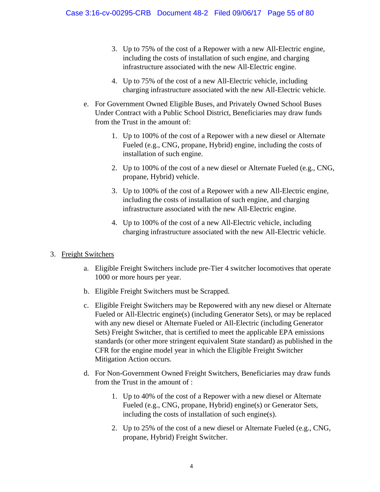- 3. Up to 75% of the cost of a Repower with a new All-Electric engine, including the costs of installation of such engine, and charging infrastructure associated with the new All-Electric engine.
- 4. Up to 75% of the cost of a new All-Electric vehicle, including charging infrastructure associated with the new All-Electric vehicle.
- e. For Government Owned Eligible Buses, and Privately Owned School Buses Under Contract with a Public School District, Beneficiaries may draw funds from the Trust in the amount of:
	- 1. Up to 100% of the cost of a Repower with a new diesel or Alternate Fueled (e.g., CNG, propane, Hybrid) engine, including the costs of installation of such engine.
	- 2. Up to 100% of the cost of a new diesel or Alternate Fueled (e.g., CNG, propane, Hybrid) vehicle.
	- 3. Up to 100% of the cost of a Repower with a new All-Electric engine, including the costs of installation of such engine, and charging infrastructure associated with the new All-Electric engine.
	- 4. Up to 100% of the cost of a new All-Electric vehicle, including charging infrastructure associated with the new All-Electric vehicle.

#### 3. Freight Switchers

- a. Eligible Freight Switchers include pre-Tier 4 switcher locomotives that operate 1000 or more hours per year.
- b. Eligible Freight Switchers must be Scrapped.
- c. Eligible Freight Switchers may be Repowered with any new diesel or Alternate Fueled or All-Electric engine(s) (including Generator Sets), or may be replaced with any new diesel or Alternate Fueled or All-Electric (including Generator Sets) Freight Switcher, that is certified to meet the applicable EPA emissions standards (or other more stringent equivalent State standard) as published in the CFR for the engine model year in which the Eligible Freight Switcher Mitigation Action occurs.
- d. For Non-Government Owned Freight Switchers, Beneficiaries may draw funds from the Trust in the amount of :
	- 1. Up to 40% of the cost of a Repower with a new diesel or Alternate Fueled (e.g., CNG, propane, Hybrid) engine(s) or Generator Sets, including the costs of installation of such engine(s).
	- 2. Up to 25% of the cost of a new diesel or Alternate Fueled (e.g., CNG, propane, Hybrid) Freight Switcher.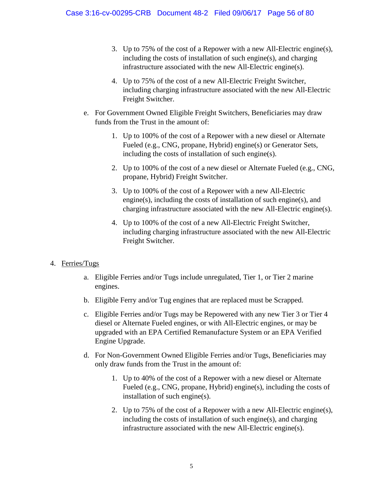- 3. Up to 75% of the cost of a Repower with a new All-Electric engine(s), including the costs of installation of such engine(s), and charging infrastructure associated with the new All-Electric engine(s).
- 4. Up to 75% of the cost of a new All-Electric Freight Switcher, including charging infrastructure associated with the new All-Electric Freight Switcher.
- e. For Government Owned Eligible Freight Switchers, Beneficiaries may draw funds from the Trust in the amount of:
	- 1. Up to 100% of the cost of a Repower with a new diesel or Alternate Fueled (e.g., CNG, propane, Hybrid) engine(s) or Generator Sets, including the costs of installation of such engine(s).
	- 2. Up to 100% of the cost of a new diesel or Alternate Fueled (e.g., CNG, propane, Hybrid) Freight Switcher.
	- 3. Up to 100% of the cost of a Repower with a new All-Electric engine(s), including the costs of installation of such engine(s), and charging infrastructure associated with the new All-Electric engine(s).
	- 4. Up to 100% of the cost of a new All-Electric Freight Switcher, including charging infrastructure associated with the new All-Electric Freight Switcher.

#### 4. Ferries/Tugs

- a. Eligible Ferries and/or Tugs include unregulated, Tier 1, or Tier 2 marine engines.
- b. Eligible Ferry and/or Tug engines that are replaced must be Scrapped.
- c. Eligible Ferries and/or Tugs may be Repowered with any new Tier 3 or Tier 4 diesel or Alternate Fueled engines, or with All-Electric engines, or may be upgraded with an EPA Certified Remanufacture System or an EPA Verified Engine Upgrade.
- d. For Non-Government Owned Eligible Ferries and/or Tugs, Beneficiaries may only draw funds from the Trust in the amount of:
	- 1. Up to 40% of the cost of a Repower with a new diesel or Alternate Fueled (e.g., CNG, propane, Hybrid) engine(s), including the costs of installation of such engine(s).
	- 2. Up to 75% of the cost of a Repower with a new All-Electric engine(s), including the costs of installation of such engine(s), and charging infrastructure associated with the new All-Electric engine(s).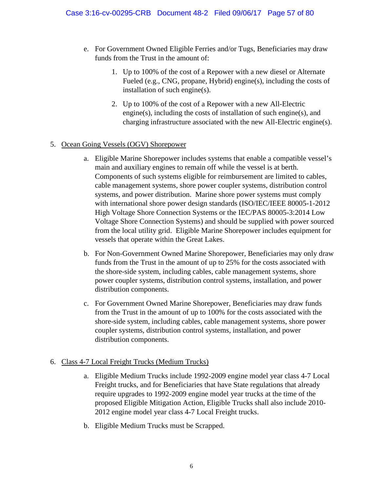- e. For Government Owned Eligible Ferries and/or Tugs, Beneficiaries may draw funds from the Trust in the amount of:
	- 1. Up to 100% of the cost of a Repower with a new diesel or Alternate Fueled (e.g., CNG, propane, Hybrid) engine(s), including the costs of installation of such engine(s).
	- 2. Up to 100% of the cost of a Repower with a new All-Electric engine(s), including the costs of installation of such engine(s), and charging infrastructure associated with the new All-Electric engine(s).

#### 5. Ocean Going Vessels (OGV) Shorepower

- a. Eligible Marine Shorepower includes systems that enable a compatible vessel's main and auxiliary engines to remain off while the vessel is at berth. Components of such systems eligible for reimbursement are limited to cables, cable management systems, shore power coupler systems, distribution control systems, and power distribution. Marine shore power systems must comply with international shore power design standards (ISO/IEC/IEEE 80005-1-2012 High Voltage Shore Connection Systems or the IEC/PAS 80005-3:2014 Low Voltage Shore Connection Systems) and should be supplied with power sourced from the local utility grid. Eligible Marine Shorepower includes equipment for vessels that operate within the Great Lakes.
- b. For Non-Government Owned Marine Shorepower, Beneficiaries may only draw funds from the Trust in the amount of up to 25% for the costs associated with the shore-side system, including cables, cable management systems, shore power coupler systems, distribution control systems, installation, and power distribution components.
- c. For Government Owned Marine Shorepower, Beneficiaries may draw funds from the Trust in the amount of up to 100% for the costs associated with the shore-side system, including cables, cable management systems, shore power coupler systems, distribution control systems, installation, and power distribution components.

#### 6. Class 4-7 Local Freight Trucks (Medium Trucks)

- a. Eligible Medium Trucks include 1992-2009 engine model year class 4-7 Local Freight trucks, and for Beneficiaries that have State regulations that already require upgrades to 1992-2009 engine model year trucks at the time of the proposed Eligible Mitigation Action, Eligible Trucks shall also include 2010- 2012 engine model year class 4-7 Local Freight trucks.
- b. Eligible Medium Trucks must be Scrapped.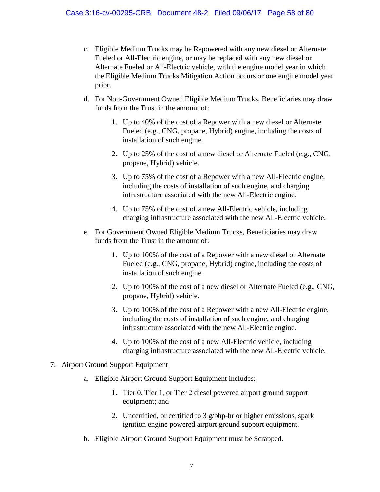- c. Eligible Medium Trucks may be Repowered with any new diesel or Alternate Fueled or All-Electric engine, or may be replaced with any new diesel or Alternate Fueled or All-Electric vehicle, with the engine model year in which the Eligible Medium Trucks Mitigation Action occurs or one engine model year prior.
- d. For Non-Government Owned Eligible Medium Trucks, Beneficiaries may draw funds from the Trust in the amount of:
	- 1. Up to 40% of the cost of a Repower with a new diesel or Alternate Fueled (e.g., CNG, propane, Hybrid) engine, including the costs of installation of such engine.
	- 2. Up to 25% of the cost of a new diesel or Alternate Fueled (e.g., CNG, propane, Hybrid) vehicle.
	- 3. Up to 75% of the cost of a Repower with a new All-Electric engine, including the costs of installation of such engine, and charging infrastructure associated with the new All-Electric engine.
	- 4. Up to 75% of the cost of a new All-Electric vehicle, including charging infrastructure associated with the new All-Electric vehicle.
- e. For Government Owned Eligible Medium Trucks, Beneficiaries may draw funds from the Trust in the amount of:
	- 1. Up to 100% of the cost of a Repower with a new diesel or Alternate Fueled (e.g., CNG, propane, Hybrid) engine, including the costs of installation of such engine.
	- 2. Up to 100% of the cost of a new diesel or Alternate Fueled (e.g., CNG, propane, Hybrid) vehicle.
	- 3. Up to 100% of the cost of a Repower with a new All-Electric engine, including the costs of installation of such engine, and charging infrastructure associated with the new All-Electric engine.
	- 4. Up to 100% of the cost of a new All-Electric vehicle, including charging infrastructure associated with the new All-Electric vehicle.

#### 7. Airport Ground Support Equipment

- a. Eligible Airport Ground Support Equipment includes:
	- 1. Tier 0, Tier 1, or Tier 2 diesel powered airport ground support equipment; and
	- 2. Uncertified, or certified to 3 g/bhp-hr or higher emissions, spark ignition engine powered airport ground support equipment.
- b. Eligible Airport Ground Support Equipment must be Scrapped.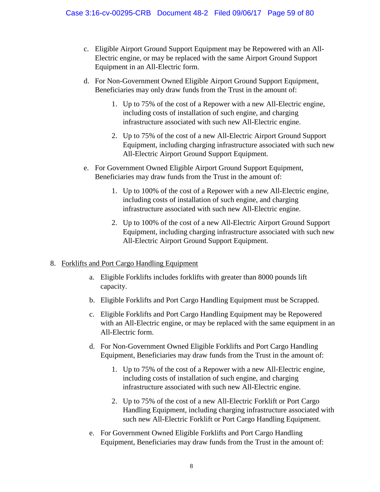- c. Eligible Airport Ground Support Equipment may be Repowered with an All-Electric engine, or may be replaced with the same Airport Ground Support Equipment in an All-Electric form.
- d. For Non-Government Owned Eligible Airport Ground Support Equipment, Beneficiaries may only draw funds from the Trust in the amount of:
	- 1. Up to 75% of the cost of a Repower with a new All-Electric engine, including costs of installation of such engine, and charging infrastructure associated with such new All-Electric engine.
	- 2. Up to 75% of the cost of a new All-Electric Airport Ground Support Equipment, including charging infrastructure associated with such new All-Electric Airport Ground Support Equipment.
- e. For Government Owned Eligible Airport Ground Support Equipment, Beneficiaries may draw funds from the Trust in the amount of:
	- 1. Up to 100% of the cost of a Repower with a new All-Electric engine, including costs of installation of such engine, and charging infrastructure associated with such new All-Electric engine.
	- 2. Up to 100% of the cost of a new All-Electric Airport Ground Support Equipment, including charging infrastructure associated with such new All-Electric Airport Ground Support Equipment.

#### 8. Forklifts and Port Cargo Handling Equipment

- a. Eligible Forklifts includes forklifts with greater than 8000 pounds lift capacity.
- b. Eligible Forklifts and Port Cargo Handling Equipment must be Scrapped.
- c. Eligible Forklifts and Port Cargo Handling Equipment may be Repowered with an All-Electric engine, or may be replaced with the same equipment in an All-Electric form.
- d. For Non-Government Owned Eligible Forklifts and Port Cargo Handling Equipment, Beneficiaries may draw funds from the Trust in the amount of:
	- 1. Up to 75% of the cost of a Repower with a new All-Electric engine, including costs of installation of such engine, and charging infrastructure associated with such new All-Electric engine.
	- 2. Up to 75% of the cost of a new All-Electric Forklift or Port Cargo Handling Equipment, including charging infrastructure associated with such new All-Electric Forklift or Port Cargo Handling Equipment.
- e. For Government Owned Eligible Forklifts and Port Cargo Handling Equipment, Beneficiaries may draw funds from the Trust in the amount of: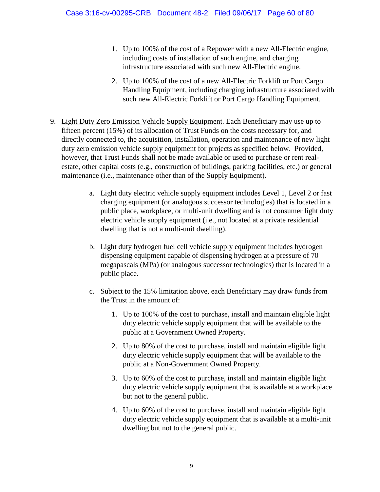- 1. Up to 100% of the cost of a Repower with a new All-Electric engine, including costs of installation of such engine, and charging infrastructure associated with such new All-Electric engine.
- 2. Up to 100% of the cost of a new All-Electric Forklift or Port Cargo Handling Equipment, including charging infrastructure associated with such new All-Electric Forklift or Port Cargo Handling Equipment.
- 9. Light Duty Zero Emission Vehicle Supply Equipment. Each Beneficiary may use up to fifteen percent (15%) of its allocation of Trust Funds on the costs necessary for, and directly connected to, the acquisition, installation, operation and maintenance of new light duty zero emission vehicle supply equipment for projects as specified below. Provided, however, that Trust Funds shall not be made available or used to purchase or rent realestate, other capital costs (e.g., construction of buildings, parking facilities, etc.) or general maintenance (i.e., maintenance other than of the Supply Equipment).
	- a. Light duty electric vehicle supply equipment includes Level 1, Level 2 or fast charging equipment (or analogous successor technologies) that is located in a public place, workplace, or multi-unit dwelling and is not consumer light duty electric vehicle supply equipment (i.e., not located at a private residential dwelling that is not a multi-unit dwelling).
	- b. Light duty hydrogen fuel cell vehicle supply equipment includes hydrogen dispensing equipment capable of dispensing hydrogen at a pressure of 70 megapascals (MPa) (or analogous successor technologies) that is located in a public place.
	- c. Subject to the 15% limitation above, each Beneficiary may draw funds from the Trust in the amount of:
		- 1. Up to 100% of the cost to purchase, install and maintain eligible light duty electric vehicle supply equipment that will be available to the public at a Government Owned Property.
		- 2. Up to 80% of the cost to purchase, install and maintain eligible light duty electric vehicle supply equipment that will be available to the public at a Non-Government Owned Property.
		- 3. Up to 60% of the cost to purchase, install and maintain eligible light duty electric vehicle supply equipment that is available at a workplace but not to the general public.
		- 4. Up to 60% of the cost to purchase, install and maintain eligible light duty electric vehicle supply equipment that is available at a multi-unit dwelling but not to the general public.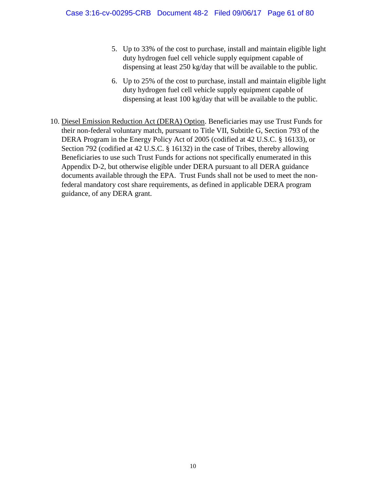- 5. Up to 33% of the cost to purchase, install and maintain eligible light duty hydrogen fuel cell vehicle supply equipment capable of dispensing at least 250 kg/day that will be available to the public.
- 6. Up to 25% of the cost to purchase, install and maintain eligible light duty hydrogen fuel cell vehicle supply equipment capable of dispensing at least 100 kg/day that will be available to the public.
- 10. Diesel Emission Reduction Act (DERA) Option. Beneficiaries may use Trust Funds for their non-federal voluntary match, pursuant to Title VII, Subtitle G, Section 793 of the DERA Program in the Energy Policy Act of 2005 (codified at 42 U.S.C. § 16133), or Section 792 (codified at 42 U.S.C. § 16132) in the case of Tribes, thereby allowing Beneficiaries to use such Trust Funds for actions not specifically enumerated in this Appendix D-2, but otherwise eligible under DERA pursuant to all DERA guidance documents available through the EPA. Trust Funds shall not be used to meet the nonfederal mandatory cost share requirements, as defined in applicable DERA program guidance, of any DERA grant.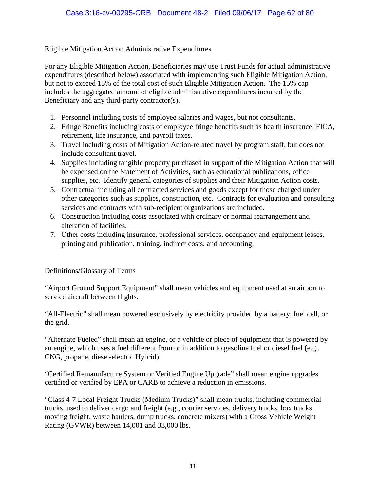#### Eligible Mitigation Action Administrative Expenditures

For any Eligible Mitigation Action, Beneficiaries may use Trust Funds for actual administrative expenditures (described below) associated with implementing such Eligible Mitigation Action, but not to exceed 15% of the total cost of such Eligible Mitigation Action. The 15% cap includes the aggregated amount of eligible administrative expenditures incurred by the Beneficiary and any third-party contractor(s).

- 1. Personnel including costs of employee salaries and wages, but not consultants.
- 2. Fringe Benefits including costs of employee fringe benefits such as health insurance, FICA, retirement, life insurance, and payroll taxes.
- 3. Travel including costs of Mitigation Action-related travel by program staff, but does not include consultant travel.
- 4. Supplies including tangible property purchased in support of the Mitigation Action that will be expensed on the Statement of Activities, such as educational publications, office supplies, etc. Identify general categories of supplies and their Mitigation Action costs.
- 5. Contractual including all contracted services and goods except for those charged under other categories such as supplies, construction, etc. Contracts for evaluation and consulting services and contracts with sub-recipient organizations are included.
- 6. Construction including costs associated with ordinary or normal rearrangement and alteration of facilities.
- 7. Other costs including insurance, professional services, occupancy and equipment leases, printing and publication, training, indirect costs, and accounting.

#### Definitions/Glossary of Terms

"Airport Ground Support Equipment" shall mean vehicles and equipment used at an airport to service aircraft between flights.

"All-Electric" shall mean powered exclusively by electricity provided by a battery, fuel cell, or the grid.

"Alternate Fueled" shall mean an engine, or a vehicle or piece of equipment that is powered by an engine, which uses a fuel different from or in addition to gasoline fuel or diesel fuel (e.g., CNG, propane, diesel-electric Hybrid).

"Certified Remanufacture System or Verified Engine Upgrade" shall mean engine upgrades certified or verified by EPA or CARB to achieve a reduction in emissions.

"Class 4-7 Local Freight Trucks (Medium Trucks)" shall mean trucks, including commercial trucks, used to deliver cargo and freight (e.g., courier services, delivery trucks, box trucks moving freight, waste haulers, dump trucks, concrete mixers) with a Gross Vehicle Weight Rating (GVWR) between 14,001 and 33,000 lbs.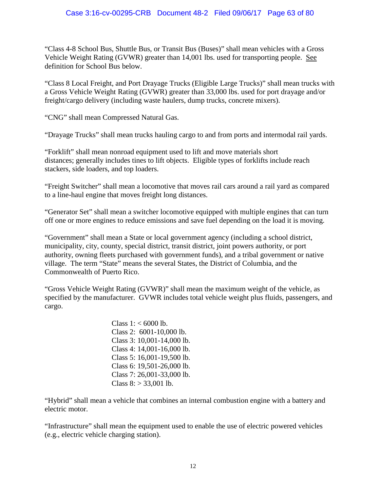"Class 4-8 School Bus, Shuttle Bus, or Transit Bus (Buses)" shall mean vehicles with a Gross Vehicle Weight Rating (GVWR) greater than 14,001 lbs. used for transporting people. See definition for School Bus below.

"Class 8 Local Freight, and Port Drayage Trucks (Eligible Large Trucks)" shall mean trucks with a Gross Vehicle Weight Rating (GVWR) greater than 33,000 lbs. used for port drayage and/or freight/cargo delivery (including waste haulers, dump trucks, concrete mixers).

"CNG" shall mean Compressed Natural Gas.

"Drayage Trucks" shall mean trucks hauling cargo to and from ports and intermodal rail yards.

"Forklift" shall mean nonroad equipment used to lift and move materials short distances; generally includes tines to lift objects. Eligible types of forklifts include reach stackers, side loaders, and top loaders.

"Freight Switcher" shall mean a locomotive that moves rail cars around a rail yard as compared to a line-haul engine that moves freight long distances.

"Generator Set" shall mean a switcher locomotive equipped with multiple engines that can turn off one or more engines to reduce emissions and save fuel depending on the load it is moving.

"Government" shall mean a State or local government agency (including a school district, municipality, city, county, special district, transit district, joint powers authority, or port authority, owning fleets purchased with government funds), and a tribal government or native village. The term "State" means the several States, the District of Columbia, and the Commonwealth of Puerto Rico.

"Gross Vehicle Weight Rating (GVWR)" shall mean the maximum weight of the vehicle, as specified by the manufacturer. GVWR includes total vehicle weight plus fluids, passengers, and cargo.

> Class  $1: < 6000$  lb. Class 2: 6001-10,000 lb. Class 3: 10,001-14,000 lb. Class 4: 14,001-16,000 lb. Class 5: 16,001-19,500 lb. Class 6: 19,501-26,000 lb. Class 7: 26,001-33,000 lb. Class  $8: > 33,001$  lb.

"Hybrid" shall mean a vehicle that combines an internal combustion engine with a battery and electric motor.

"Infrastructure" shall mean the equipment used to enable the use of electric powered vehicles (e.g., electric vehicle charging station).